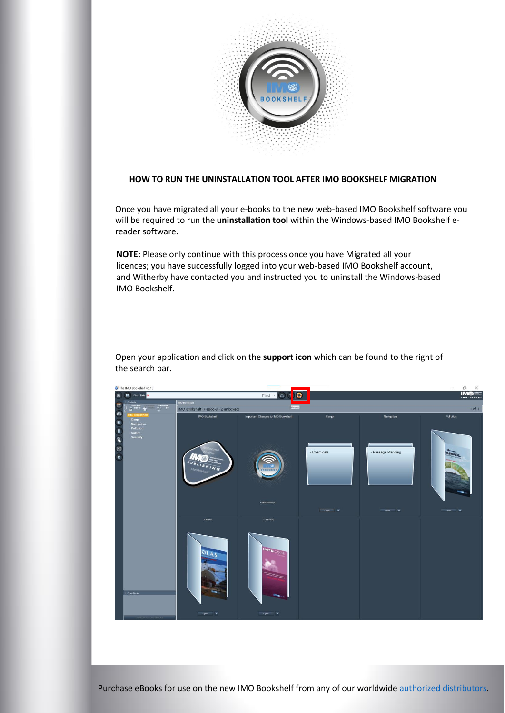

## **HOW TO RUN THE UNINSTALLATION TOOL AFTER IMO BOOKSHELF MIGRATION**

Once you have migrated all your e-books to the new web-based IMO Bookshelf software you will be required to run the **uninstallation tool** within the Windows-based IMO Bookshelf ereader software.

**NOTE:** Please only continue with this process once you have Migrated all your licences; you have successfully logged into your web-based IMO Bookshelf account, and Witherby have contacted you and instructed you to uninstall the Windows-based IMO Bookshelf.



Open your application and click on the **support icon** which can be found to the right of the search bar.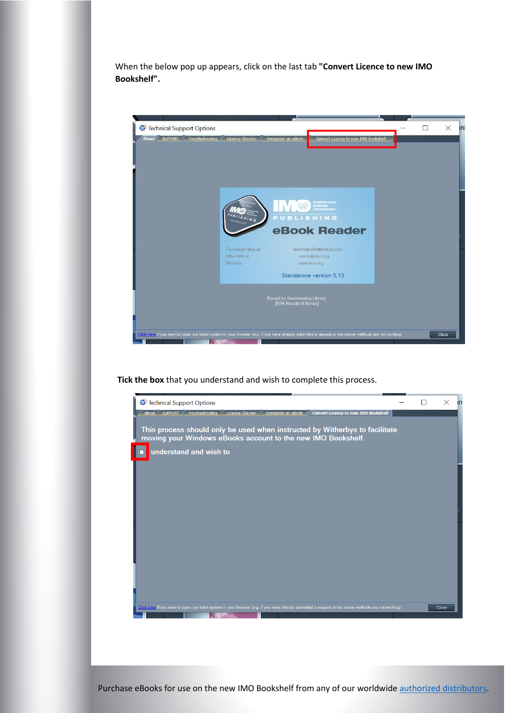When the below pop up appears, click on the last tab **"Convert Licence to new IMO Bookshelf".**



**Tick the box** that you understand and wish to complete this process.



Purchase eBooks for use on the new IMO Bookshelf from any of our worldwide [authorized distributors.](https://www.imo.org/en/publications/Pages/Distributors-default.aspx)